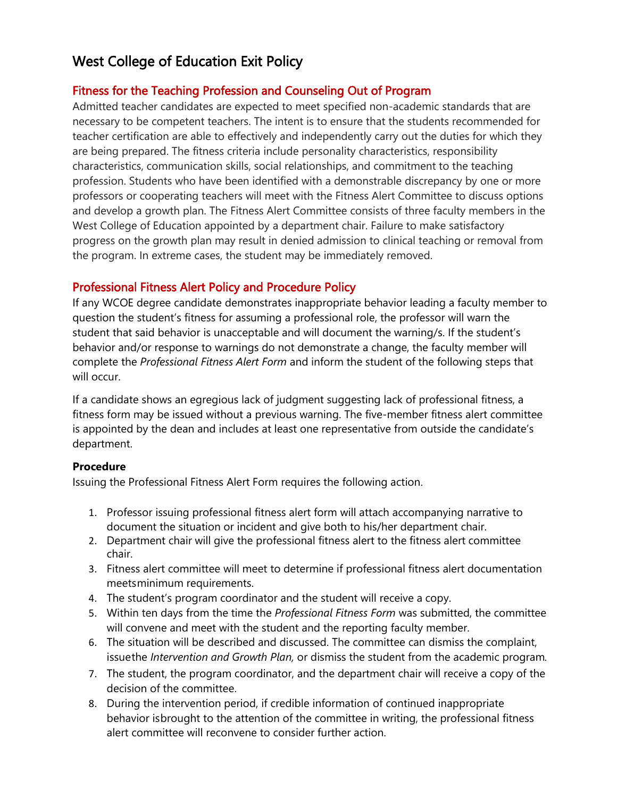# West College of Education Exit Policy

# Fitness for the Teaching Profession and Counseling Out of Program

Admitted teacher candidates are expected to meet specified non-academic standards that are necessary to be competent teachers. The intent is to ensure that the students recommended for teacher certification are able to effectively and independently carry out the duties for which they are being prepared. The fitness criteria include personality characteristics, responsibility characteristics, communication skills, social relationships, and commitment to the teaching profession. Students who have been identified with a demonstrable discrepancy by one or more professors or cooperating teachers will meet with the Fitness Alert Committee to discuss options and develop a growth plan. The Fitness Alert Committee consists of three faculty members in the West College of Education appointed by a department chair. Failure to make satisfactory progress on the growth plan may result in denied admission to clinical teaching or removal from the program. In extreme cases, the student may be immediately removed.

# Professional Fitness Alert Policy and Procedure Policy

If any WCOE degree candidate demonstrates inappropriate behavior leading a faculty member to question the student's fitness for assuming a professional role, the professor will warn the student that said behavior is unacceptable and will document the warning/s. If the student's behavior and/or response to warnings do not demonstrate a change, the faculty member will complete the *Professional Fitness Alert Form* and inform the student of the following steps that will occur.

If a candidate shows an egregious lack of judgment suggesting lack of professional fitness, a fitness form may be issued without a previous warning. The five-member fitness alert committee is appointed by the dean and includes at least one representative from outside the candidate's department.

# **Procedure**

Issuing the Professional Fitness Alert Form requires the following action.

- 1. Professor issuing professional fitness alert form will attach accompanying narrative to document the situation or incident and give both to his/her department chair.
- 2. Department chair will give the professional fitness alert to the fitness alert committee chair.
- 3. Fitness alert committee will meet to determine if professional fitness alert documentation meetsminimum requirements.
- 4. The student's program coordinator and the student will receive a copy.
- 5. Within ten days from the time the *Professional Fitness Form* was submitted, the committee will convene and meet with the student and the reporting faculty member.
- 6. The situation will be described and discussed. The committee can dismiss the complaint, issuethe *Intervention and Growth Plan,* or dismiss the student from the academic program*.*
- 7. The student, the program coordinator, and the department chair will receive a copy of the decision of the committee.
- 8. During the intervention period, if credible information of continued inappropriate behavior isbrought to the attention of the committee in writing, the professional fitness alert committee will reconvene to consider further action.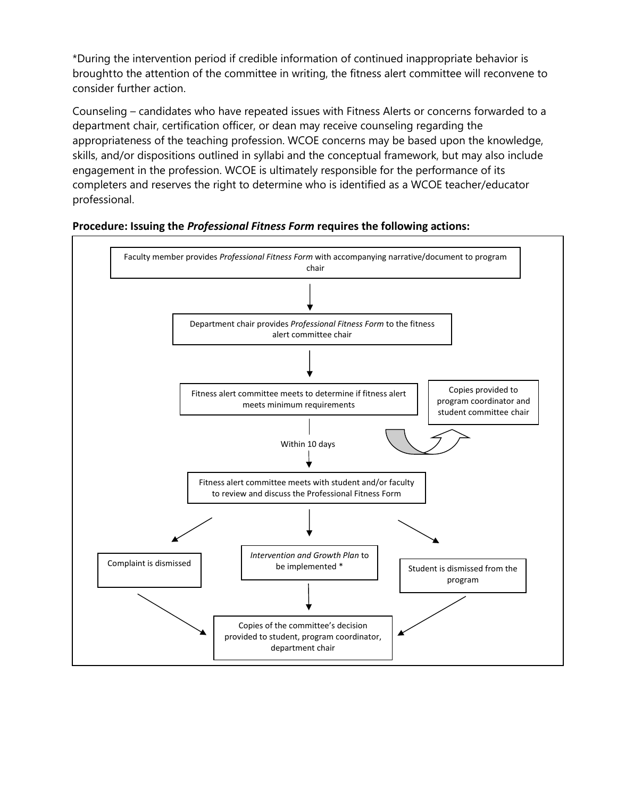\*During the intervention period if credible information of continued inappropriate behavior is broughtto the attention of the committee in writing, the fitness alert committee will reconvene to consider further action.

Counseling – candidates who have repeated issues with Fitness Alerts or concerns forwarded to a department chair, certification officer, or dean may receive counseling regarding the appropriateness of the teaching profession. WCOE concerns may be based upon the knowledge, skills, and/or dispositions outlined in syllabi and the conceptual framework, but may also include engagement in the profession. WCOE is ultimately responsible for the performance of its completers and reserves the right to determine who is identified as a WCOE teacher/educator professional.



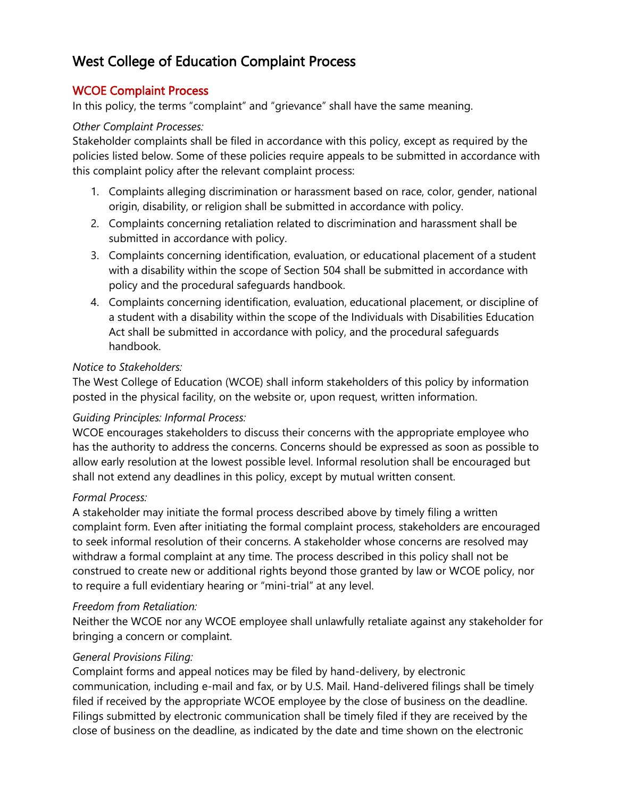# West College of Education Complaint Process

# WCOE Complaint Process

In this policy, the terms "complaint" and "grievance" shall have the same meaning.

# *Other Complaint Processes:*

Stakeholder complaints shall be filed in accordance with this policy, except as required by the policies listed below. Some of these policies require appeals to be submitted in accordance with this complaint policy after the relevant complaint process:

- 1. Complaints alleging discrimination or harassment based on race, color, gender, national origin, disability, or religion shall be submitted in accordance with policy.
- 2. Complaints concerning retaliation related to discrimination and harassment shall be submitted in accordance with policy.
- 3. Complaints concerning identification, evaluation, or educational placement of a student with a disability within the scope of Section 504 shall be submitted in accordance with policy and the procedural safeguards handbook.
- 4. Complaints concerning identification, evaluation, educational placement, or discipline of a student with a disability within the scope of the Individuals with Disabilities Education Act shall be submitted in accordance with policy, and the procedural safeguards handbook.

# *Notice to Stakeholders:*

The West College of Education (WCOE) shall inform stakeholders of this policy by information posted in the physical facility, on the website or, upon request, written information.

# *Guiding Principles: Informal Process:*

WCOE encourages stakeholders to discuss their concerns with the appropriate employee who has the authority to address the concerns. Concerns should be expressed as soon as possible to allow early resolution at the lowest possible level. Informal resolution shall be encouraged but shall not extend any deadlines in this policy, except by mutual written consent.

# *Formal Process:*

A stakeholder may initiate the formal process described above by timely filing a written complaint form. Even after initiating the formal complaint process, stakeholders are encouraged to seek informal resolution of their concerns. A stakeholder whose concerns are resolved may withdraw a formal complaint at any time. The process described in this policy shall not be construed to create new or additional rights beyond those granted by law or WCOE policy, nor to require a full evidentiary hearing or "mini-trial" at any level.

# *Freedom from Retaliation:*

Neither the WCOE nor any WCOE employee shall unlawfully retaliate against any stakeholder for bringing a concern or complaint.

# *General Provisions Filing:*

Complaint forms and appeal notices may be filed by hand-delivery, by electronic communication, including e-mail and fax, or by U.S. Mail. Hand-delivered filings shall be timely filed if received by the appropriate WCOE employee by the close of business on the deadline. Filings submitted by electronic communication shall be timely filed if they are received by the close of business on the deadline, as indicated by the date and time shown on the electronic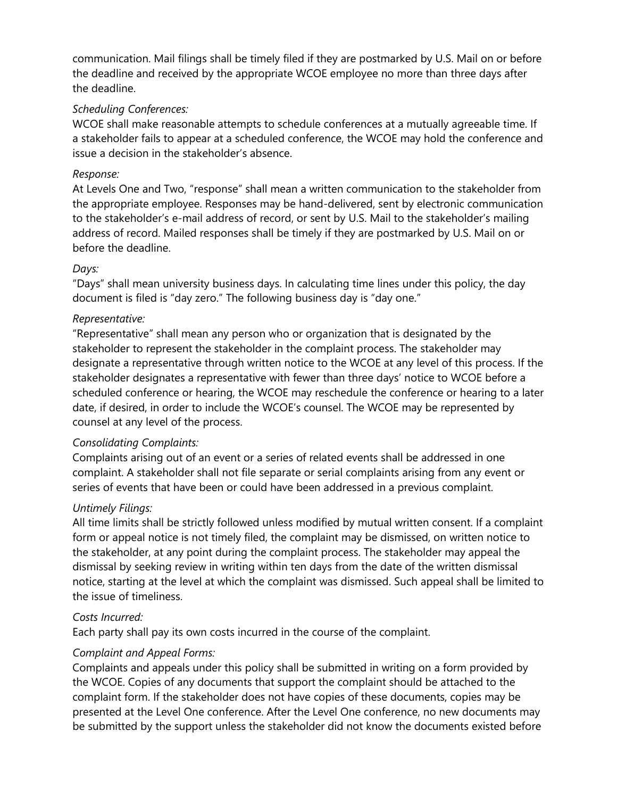communication. Mail filings shall be timely filed if they are postmarked by U.S. Mail on or before the deadline and received by the appropriate WCOE employee no more than three days after the deadline.

# *Scheduling Conferences:*

WCOE shall make reasonable attempts to schedule conferences at a mutually agreeable time. If a stakeholder fails to appear at a scheduled conference, the WCOE may hold the conference and issue a decision in the stakeholder's absence.

#### *Response:*

At Levels One and Two, "response" shall mean a written communication to the stakeholder from the appropriate employee. Responses may be hand-delivered, sent by electronic communication to the stakeholder's e-mail address of record, or sent by U.S. Mail to the stakeholder's mailing address of record. Mailed responses shall be timely if they are postmarked by U.S. Mail on or before the deadline.

#### *Days:*

"Days" shall mean university business days. In calculating time lines under this policy, the day document is filed is "day zero." The following business day is "day one."

#### *Representative:*

"Representative" shall mean any person who or organization that is designated by the stakeholder to represent the stakeholder in the complaint process. The stakeholder may designate a representative through written notice to the WCOE at any level of this process. If the stakeholder designates a representative with fewer than three days' notice to WCOE before a scheduled conference or hearing, the WCOE may reschedule the conference or hearing to a later date, if desired, in order to include the WCOE's counsel. The WCOE may be represented by counsel at any level of the process.

# *Consolidating Complaints:*

Complaints arising out of an event or a series of related events shall be addressed in one complaint. A stakeholder shall not file separate or serial complaints arising from any event or series of events that have been or could have been addressed in a previous complaint.

# *Untimely Filings:*

All time limits shall be strictly followed unless modified by mutual written consent. If a complaint form or appeal notice is not timely filed, the complaint may be dismissed, on written notice to the stakeholder, at any point during the complaint process. The stakeholder may appeal the dismissal by seeking review in writing within ten days from the date of the written dismissal notice, starting at the level at which the complaint was dismissed. Such appeal shall be limited to the issue of timeliness.

#### *Costs Incurred:*

Each party shall pay its own costs incurred in the course of the complaint.

# *Complaint and Appeal Forms:*

Complaints and appeals under this policy shall be submitted in writing on a form provided by the WCOE. Copies of any documents that support the complaint should be attached to the complaint form. If the stakeholder does not have copies of these documents, copies may be presented at the Level One conference. After the Level One conference, no new documents may be submitted by the support unless the stakeholder did not know the documents existed before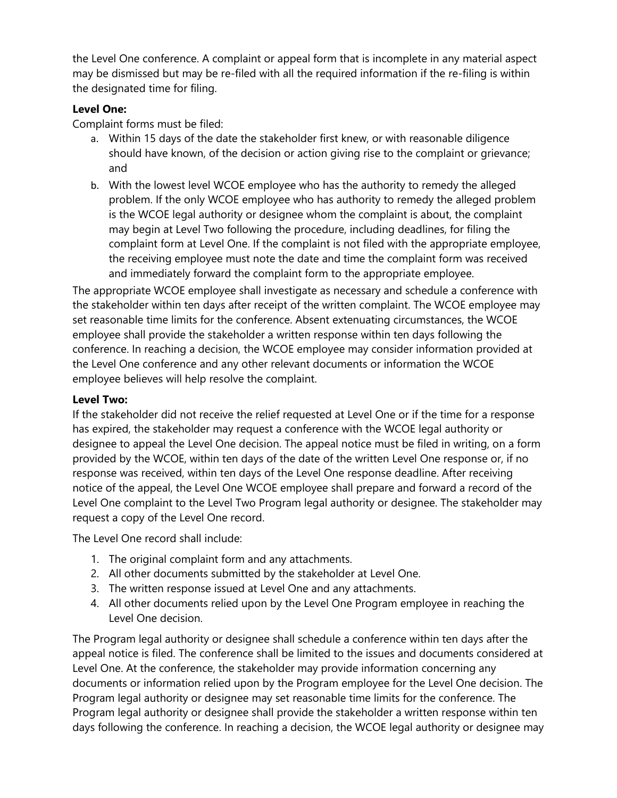the Level One conference. A complaint or appeal form that is incomplete in any material aspect may be dismissed but may be re-filed with all the required information if the re-filing is within the designated time for filing.

# **Level One:**

Complaint forms must be filed:

- a. Within 15 days of the date the stakeholder first knew, or with reasonable diligence should have known, of the decision or action giving rise to the complaint or grievance; and
- b. With the lowest level WCOE employee who has the authority to remedy the alleged problem. If the only WCOE employee who has authority to remedy the alleged problem is the WCOE legal authority or designee whom the complaint is about, the complaint may begin at Level Two following the procedure, including deadlines, for filing the complaint form at Level One. If the complaint is not filed with the appropriate employee, the receiving employee must note the date and time the complaint form was received and immediately forward the complaint form to the appropriate employee.

The appropriate WCOE employee shall investigate as necessary and schedule a conference with the stakeholder within ten days after receipt of the written complaint. The WCOE employee may set reasonable time limits for the conference. Absent extenuating circumstances, the WCOE employee shall provide the stakeholder a written response within ten days following the conference. In reaching a decision, the WCOE employee may consider information provided at the Level One conference and any other relevant documents or information the WCOE employee believes will help resolve the complaint.

#### **Level Two:**

If the stakeholder did not receive the relief requested at Level One or if the time for a response has expired, the stakeholder may request a conference with the WCOE legal authority or designee to appeal the Level One decision. The appeal notice must be filed in writing, on a form provided by the WCOE, within ten days of the date of the written Level One response or, if no response was received, within ten days of the Level One response deadline. After receiving notice of the appeal, the Level One WCOE employee shall prepare and forward a record of the Level One complaint to the Level Two Program legal authority or designee. The stakeholder may request a copy of the Level One record.

The Level One record shall include:

- 1. The original complaint form and any attachments.
- 2. All other documents submitted by the stakeholder at Level One.
- 3. The written response issued at Level One and any attachments.
- 4. All other documents relied upon by the Level One Program employee in reaching the Level One decision.

The Program legal authority or designee shall schedule a conference within ten days after the appeal notice is filed. The conference shall be limited to the issues and documents considered at Level One. At the conference, the stakeholder may provide information concerning any documents or information relied upon by the Program employee for the Level One decision. The Program legal authority or designee may set reasonable time limits for the conference. The Program legal authority or designee shall provide the stakeholder a written response within ten days following the conference. In reaching a decision, the WCOE legal authority or designee may